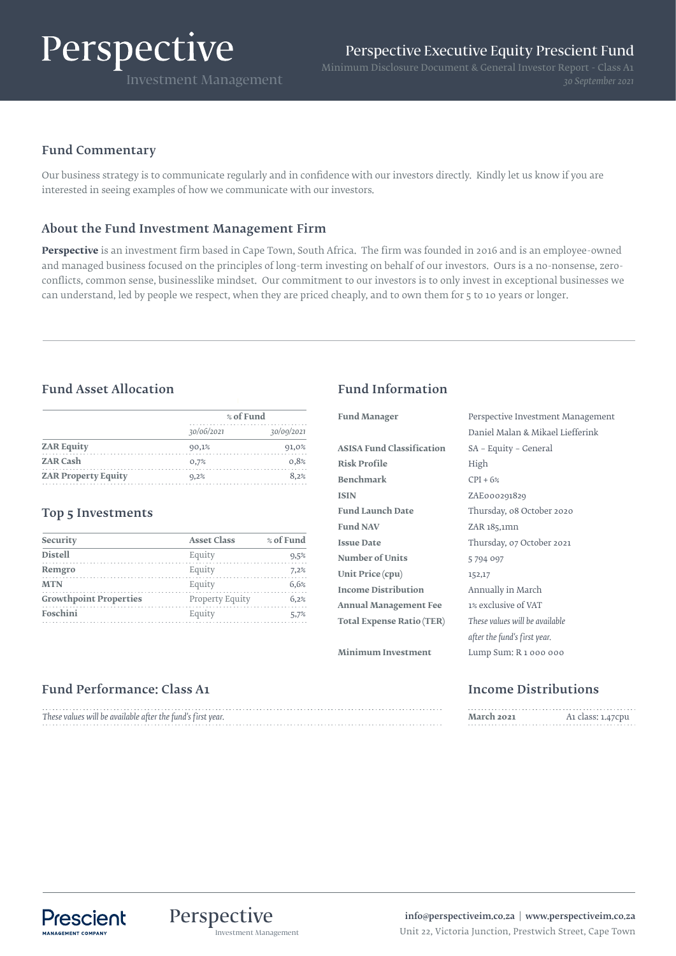# Perspective

# Fund Commentary

Our business strategy is to communicate regularly and in confidence with our investors directly. Kindly let us know if you are interested in seeing examples of how we communicate with our investors.

# About the Fund Investment Management Firm

**Perspective** is an investment firm based in Cape Town, South Africa. The firm was founded in 2016 and is an employee-owned and managed business focused on the principles of long-term investing on behalf of our investors. Ours is a no-nonsense, zeroconflicts, common sense, businesslike mindset. Our commitment to our investors is to only invest in exceptional businesses we can understand, led by people we respect, when they are priced cheaply, and to own them for 5 to 10 years or longer.

# Fund Asset Allocation Fund Information

|                            | % of Fund  |            |
|----------------------------|------------|------------|
|                            | 30/06/2021 | 30/09/2021 |
| <b>ZAR Equity</b>          | 90,1%      | 91,0%      |
| <b>ZAR Cash</b>            | 0,7%       | 0.8%       |
| <b>ZAR Property Equity</b> | 9,2%       | 8.2%       |

### Top 5 Investments

| Security                      | <b>Asset Class</b> | % of Fund |
|-------------------------------|--------------------|-----------|
| <b>Distell</b>                | Equity             | 9,5%      |
| Remgro                        | Equity             | 7,2%      |
| <b>MTN</b>                    | Equity             | 6.6%      |
| <b>Growthpoint Properties</b> | Property Equity    | 6.2%      |
| Foschini                      | Equity             | 5.7%      |

| <b>Fund Manager</b>              | Perspective Investment Management |  |
|----------------------------------|-----------------------------------|--|
|                                  | Daniel Malan & Mikael Liefferink  |  |
| <b>ASISA Fund Classification</b> | SA - Equity - General             |  |
| <b>Risk Profile</b>              | High                              |  |
| <b>Benchmark</b>                 | $CPI + 6%$                        |  |
| <b>ISIN</b>                      | ZAE000291829                      |  |
| <b>Fund Launch Date</b>          | Thursday, 08 October 2020         |  |
| <b>Fund NAV</b>                  | ZAR 185,1mn                       |  |
| <b>Issue Date</b>                | Thursday, 07 October 2021         |  |
| <b>Number of Units</b>           | 5794097                           |  |
| Unit Price (cpu)                 | 152,17                            |  |
| <b>Income Distribution</b>       | Annually in March                 |  |
| <b>Annual Management Fee</b>     | 1% exclusive of VAT               |  |
| <b>Total Expense Ratio (TER)</b> | These values will be available    |  |
|                                  | after the fund's first year.      |  |
| <b>Minimum Investment</b>        | Lump Sum: R 1 000 000             |  |

# Fund Performance: Class A1 and the Class A1 income Distributions

| These values will be available after the fund's first year. |
|-------------------------------------------------------------|
|                                                             |

| March 2021 | A1 class: 1.47cpu |
|------------|-------------------|
|            |                   |



info@perspectiveim.co.za | www.perspectiveim.co.za Investment Management Unit 22, Victoria Junction, Prestwich Street, Cape Town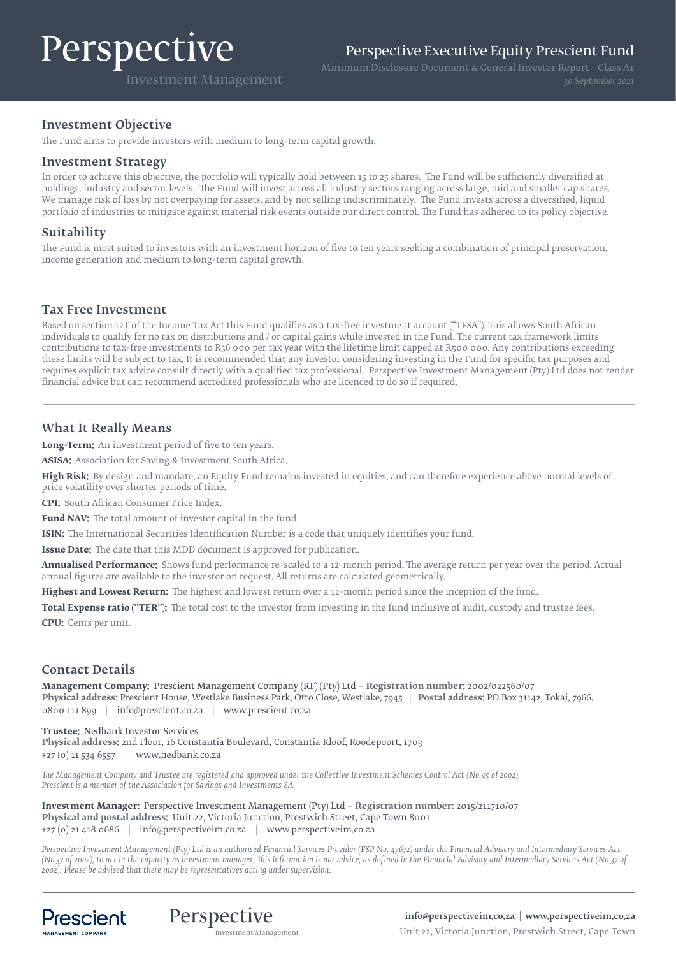# Perspective

Investment Management

## Investment Objective

The Fund aims to provide investors with medium to long-term capital growth.

### Investment Strategy

In order to achieve this objective, the portfolio will typically hold between 15 to 25 shares. The Fund will be sufficiently diversified at holdings, industry and sector levels. The Fund will invest across all industry sectors ranging across large, mid and smaller cap shares. We manage risk of loss by not overpaying for assets, and by not selling indiscriminately. The Fund invests across a diversified, liquid portfolio of industries to mitigate against material risk events outside our direct control. The Fund has adhered to its policy objective.

## Suitability

The Fund is most suited to investors with an investment horizon of five to ten years seeking a combination of principal preservation, income generation and medium to long-term capital growth.

### Tax Free Investment

Based on section 12T of the Income Tax Act this Fund qualifies as a tax-free investment account ("TFSA"). This allows South African individuals to qualify for no tax on distributions and / or capital gains while invested in the Fund. The current tax framework limits contributions to tax-free investments to R36 000 per tax year with the lifetime limit capped at R500 000. Any contributions exceeding these limits will be subject to tax. It is recommended that any investor considering investing in the Fund for specific tax purposes and requires explicit tax advice consult directly with a qualified tax professional. Perspective Investment Management (Pty) Ltd does not render financial advice but can recommend accredited professionals who are licenced to do so if required.

# What It Really Means

**Long-Term:** An investment period of five to ten years.

**ASISA:** Association for Saving & Investment South Africa.

**High Risk:** By design and mandate, an Equity Fund remains invested in equities, and can therefore experience above normal levels of price volatility over shorter periods of time.

**CPI:** South African Consumer Price Index.

**Fund NAV:** The total amount of investor capital in the fund.

**ISIN:** The International Securities Identification Number is a code that uniquely identifies your fund.

**Issue Date:** The date that this MDD document is approved for publication.

**Annualised Performance:** Shows fund performance re-scaled to a 12-month period. The average return per year over the period. Actual annual figures are available to the investor on request. All returns are calculated geometrically.

**Highest and Lowest Return:** The highest and lowest return over a 12-month period since the inception of the fund.

Total Expense ratio ("TER"): The total cost to the investor from investing in the fund inclusive of audit, custody and trustee fees.

**CPU:** Cents per unit.

# Contact Details

**Management Company:** Prescient Management Company (RF) (Pty) Ltd – **Registration number:** 2002/022560/07 **Physical address:** Prescient House, Westlake Business Park, Otto Close, Westlake, 7945 | **Postal address:** PO Box 31142, Tokai, 7966. 0800 111 899 | info@prescient.co.za | www.prescient.co.za

**Trustee:** Nedbank Investor Services **Physical address:** 2nd Floor, 16 Constantia Boulevard, Constantia Kloof, Roodepoort, 1709 +27 (0) 11 534 6557 | www.nedbank.co.za

*The Management Company and Trustee are registered and approved under the Collective Investment Schemes Control Act (No.45 of 2002). Prescient is a member of the Association for Savings and Investments SA.*

**Investment Manager:** Perspective Investment Management (Pty) Ltd – **Registration number:** 2015/211710/07 **Physical and postal address:** Unit 22, Victoria Junction, Prestwich Street, Cape Town 8001 +27 (0) 21 418 0686 | info@perspectiveim.co.za | www.perspectiveim.co.za

*Perspective Investment Management (Pty) Ltd is an authorised Financial Services Provider (FSP No. 47672) under the Financial Advisory and Intermediary Services Act (No.37 of 2002), to act in the capacity as investment manager. This information is not advice, as defined in the Financial Advisory and Intermediary Services Act (N0.37 of 2002). Please be advised that there may be representatives acting under supervision.*





info@perspectiveim.co.za | www.perspectiveim.co.za **Perspective COVIVE**<br>Investment Management Unit 22, Victoria Junction, Prestwich Street, Cape Town